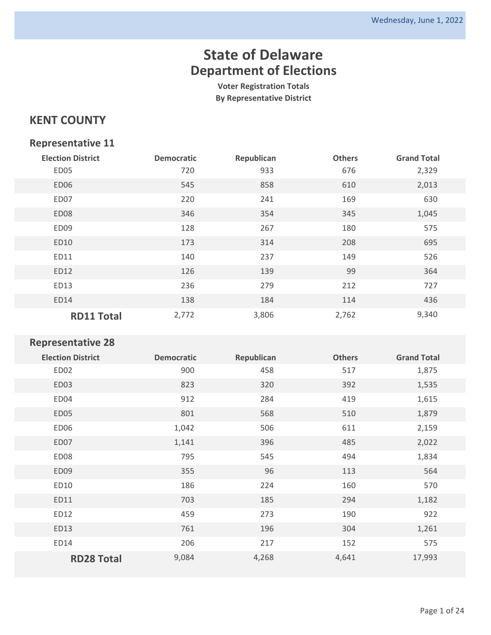**Voter Registration Totals By Representative District**

### **KENT COUNTY**

#### **Representative 11**

| <b>Election District</b> | <b>Democratic</b> | Republican | <b>Others</b> | <b>Grand Total</b> |
|--------------------------|-------------------|------------|---------------|--------------------|
| ED05                     | 720               | 933        | 676           | 2,329              |
| ED06                     | 545               | 858        | 610           | 2,013              |
| ED07                     | 220               | 241        | 169           | 630                |
| ED <sub>08</sub>         | 346               | 354        | 345           | 1,045              |
| ED09                     | 128               | 267        | 180           | 575                |
| <b>ED10</b>              | 173               | 314        | 208           | 695                |
| ED11                     | 140               | 237        | 149           | 526                |
| ED12                     | 126               | 139        | 99            | 364                |
| ED13                     | 236               | 279        | 212           | 727                |
| ED14                     | 138               | 184        | 114           | 436                |
| <b>RD11 Total</b>        | 2,772             | 3,806      | 2,762         | 9,340              |

| <b>Election District</b> | <b>Democratic</b> | Republican | <b>Others</b> | <b>Grand Total</b> |
|--------------------------|-------------------|------------|---------------|--------------------|
| ED02                     | 900               | 458        | 517           | 1,875              |
| ED03                     | 823               | 320        | 392           | 1,535              |
| ED04                     | 912               | 284        | 419           | 1,615              |
| ED05                     | 801               | 568        | 510           | 1,879              |
| ED06                     | 1,042             | 506        | 611           | 2,159              |
| ED07                     | 1,141             | 396        | 485           | 2,022              |
| ED08                     | 795               | 545        | 494           | 1,834              |
| ED09                     | 355               | 96         | 113           | 564                |
| ED10                     | 186               | 224        | 160           | 570                |
| ED11                     | 703               | 185        | 294           | 1,182              |
| ED12                     | 459               | 273        | 190           | 922                |
| ED13                     | 761               | 196        | 304           | 1,261              |
| ED14                     | 206               | 217        | 152           | 575                |
| <b>RD28 Total</b>        | 9,084             | 4,268      | 4,641         | 17,993             |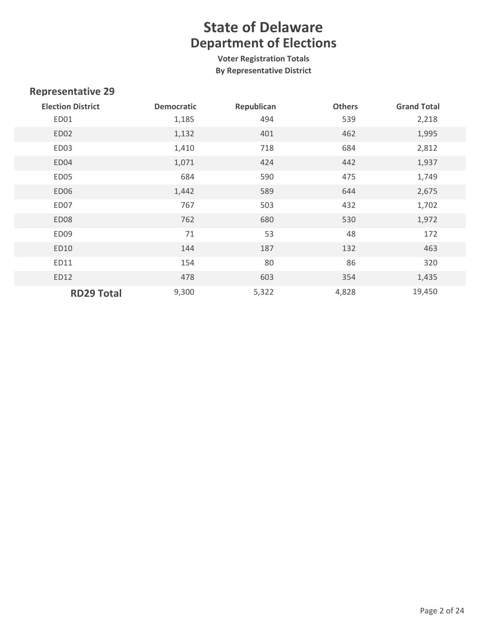**Voter Registration Totals By Representative District**

| <b>Election District</b> | <b>Democratic</b> | Republican | <b>Others</b> | <b>Grand Total</b> |
|--------------------------|-------------------|------------|---------------|--------------------|
| ED01                     | 1,185             | 494        | 539           | 2,218              |
| ED <sub>02</sub>         | 1,132             | 401        | 462           | 1,995              |
| ED03                     | 1,410             | 718        | 684           | 2,812              |
| ED04                     | 1,071             | 424        | 442           | 1,937              |
| ED05                     | 684               | 590        | 475           | 1,749              |
| ED06                     | 1,442             | 589        | 644           | 2,675              |
| ED07                     | 767               | 503        | 432           | 1,702              |
| ED <sub>08</sub>         | 762               | 680        | 530           | 1,972              |
| ED09                     | 71                | 53         | 48            | 172                |
| ED10                     | 144               | 187        | 132           | 463                |
| ED11                     | 154               | 80         | 86            | 320                |
| ED12                     | 478               | 603        | 354           | 1,435              |
| <b>RD29 Total</b>        | 9,300             | 5,322      | 4,828         | 19,450             |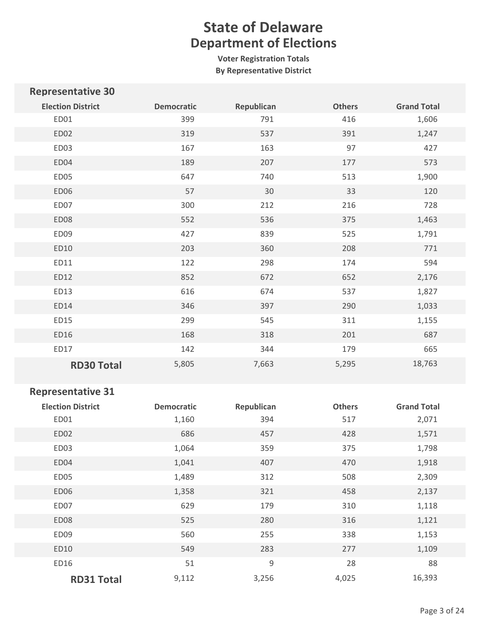**Voter Registration Totals By Representative District**

| <b>Representative 30</b> |                   |            |               |                    |
|--------------------------|-------------------|------------|---------------|--------------------|
| <b>Election District</b> | <b>Democratic</b> | Republican | <b>Others</b> | <b>Grand Total</b> |
| ED01                     | 399               | 791        | 416           | 1,606              |
| ED02                     | 319               | 537        | 391           | 1,247              |
| ED03                     | 167               | 163        | 97            | 427                |
| ED04                     | 189               | 207        | 177           | 573                |
| ED05                     | 647               | 740        | 513           | 1,900              |
| ED06                     | 57                | 30         | 33            | 120                |
| ED07                     | 300               | 212        | 216           | 728                |
| ED08                     | 552               | 536        | 375           | 1,463              |
| ED09                     | 427               | 839        | 525           | 1,791              |
| ED10                     | 203               | 360        | 208           | 771                |
| ED11                     | 122               | 298        | 174           | 594                |
| ED12                     | 852               | 672        | 652           | 2,176              |
| ED13                     | 616               | 674        | 537           | 1,827              |
| ED14                     | 346               | 397        | 290           | 1,033              |
| ED15                     | 299               | 545        | 311           | 1,155              |
| ED16                     | 168               | 318        | 201           | 687                |
| ED17                     | 142               | 344        | 179           | 665                |
| <b>RD30 Total</b>        | 5,805             | 7,663      | 5,295         | 18,763             |

| <b>Election District</b> | <b>Democratic</b> | Republican  | <b>Others</b> | <b>Grand Total</b> |
|--------------------------|-------------------|-------------|---------------|--------------------|
| ED01                     | 1,160             | 394         | 517           | 2,071              |
| ED02                     | 686               | 457         | 428           | 1,571              |
| ED03                     | 1,064             | 359         | 375           | 1,798              |
| ED04                     | 1,041             | 407         | 470           | 1,918              |
| ED05                     | 1,489             | 312         | 508           | 2,309              |
| ED06                     | 1,358             | 321         | 458           | 2,137              |
| ED07                     | 629               | 179         | 310           | 1,118              |
| ED <sub>08</sub>         | 525               | 280         | 316           | 1,121              |
| ED09                     | 560               | 255         | 338           | 1,153              |
| ED10                     | 549               | 283         | 277           | 1,109              |
| ED16                     | 51                | $\mathsf 9$ | 28            | 88                 |
| <b>RD31 Total</b>        | 9,112             | 3,256       | 4,025         | 16,393             |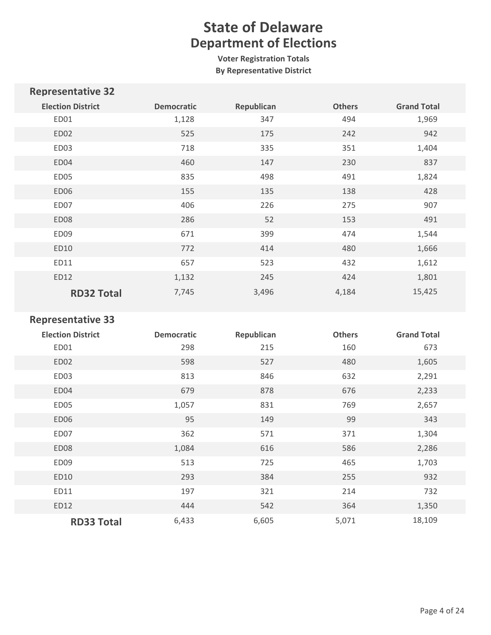**Voter Registration Totals By Representative District**

| <b>Representative 32</b> |                   |            |               |                    |
|--------------------------|-------------------|------------|---------------|--------------------|
| <b>Election District</b> | <b>Democratic</b> | Republican | <b>Others</b> | <b>Grand Total</b> |
| ED01                     | 1,128             | 347        | 494           | 1,969              |
| ED <sub>02</sub>         | 525               | 175        | 242           | 942                |
| ED03                     | 718               | 335        | 351           | 1,404              |
| ED04                     | 460               | 147        | 230           | 837                |
| ED05                     | 835               | 498        | 491           | 1,824              |
| ED06                     | 155               | 135        | 138           | 428                |
| ED07                     | 406               | 226        | 275           | 907                |
| ED <sub>08</sub>         | 286               | 52         | 153           | 491                |
| ED09                     | 671               | 399        | 474           | 1,544              |
| ED10                     | 772               | 414        | 480           | 1,666              |
| ED11                     | 657               | 523        | 432           | 1,612              |
| ED12                     | 1,132             | 245        | 424           | 1,801              |
| <b>RD32 Total</b>        | 7,745             | 3,496      | 4,184         | 15,425             |

| <b>Election District</b> | <b>Democratic</b> | Republican | <b>Others</b> | <b>Grand Total</b> |
|--------------------------|-------------------|------------|---------------|--------------------|
| ED01                     | 298               | 215        | 160           | 673                |
| ED02                     | 598               | 527        | 480           | 1,605              |
| ED03                     | 813               | 846        | 632           | 2,291              |
| ED04                     | 679               | 878        | 676           | 2,233              |
| ED <sub>05</sub>         | 1,057             | 831        | 769           | 2,657              |
| ED06                     | 95                | 149        | 99            | 343                |
| ED07                     | 362               | 571        | 371           | 1,304              |
| ED08                     | 1,084             | 616        | 586           | 2,286              |
| ED <sub>09</sub>         | 513               | 725        | 465           | 1,703              |
| ED10                     | 293               | 384        | 255           | 932                |
| ED11                     | 197               | 321        | 214           | 732                |
| ED12                     | 444               | 542        | 364           | 1,350              |
| <b>RD33 Total</b>        | 6,433             | 6,605      | 5,071         | 18,109             |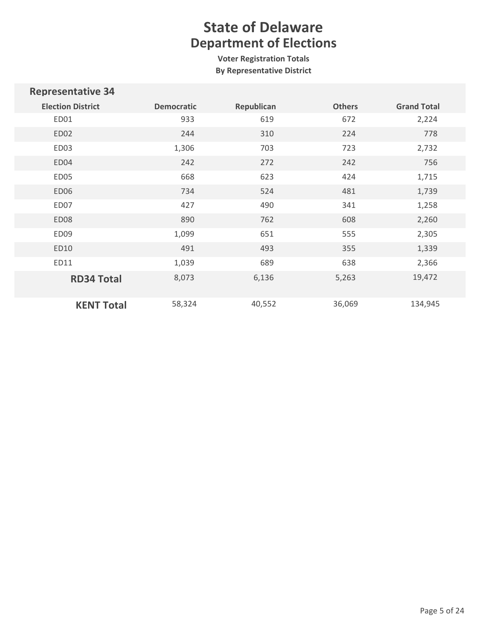**Voter Registration Totals By Representative District**

| <b>Representative 34</b> |                   |            |               |                    |
|--------------------------|-------------------|------------|---------------|--------------------|
| <b>Election District</b> | <b>Democratic</b> | Republican | <b>Others</b> | <b>Grand Total</b> |
| ED01                     | 933               | 619        | 672           | 2,224              |
| ED <sub>02</sub>         | 244               | 310        | 224           | 778                |
| ED03                     | 1,306             | 703        | 723           | 2,732              |
| ED04                     | 242               | 272        | 242           | 756                |
| ED05                     | 668               | 623        | 424           | 1,715              |
| ED06                     | 734               | 524        | 481           | 1,739              |
| ED07                     | 427               | 490        | 341           | 1,258              |
| ED <sub>08</sub>         | 890               | 762        | 608           | 2,260              |
| ED09                     | 1,099             | 651        | 555           | 2,305              |
| ED10                     | 491               | 493        | 355           | 1,339              |
| ED11                     | 1,039             | 689        | 638           | 2,366              |
| <b>RD34 Total</b>        | 8,073             | 6,136      | 5,263         | 19,472             |
| <b>KENT Total</b>        | 58,324            | 40,552     | 36,069        | 134,945            |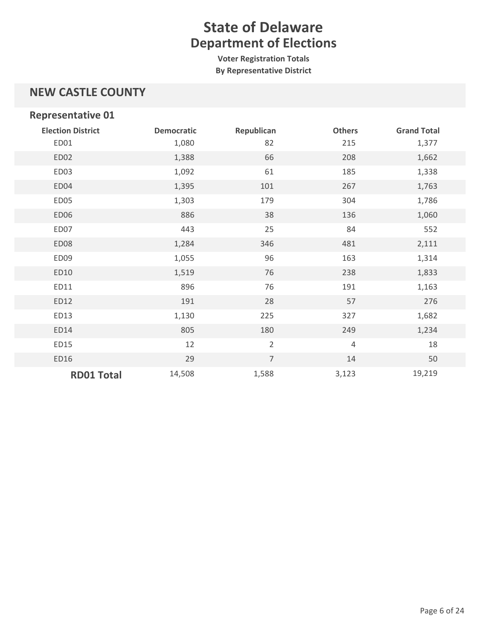**Voter Registration Totals By Representative District**

### **NEW CASTLE COUNTY**

| <b>Representative 01</b> |                   |                |                |                    |
|--------------------------|-------------------|----------------|----------------|--------------------|
| <b>Election District</b> | <b>Democratic</b> | Republican     | <b>Others</b>  | <b>Grand Total</b> |
| ED01                     | 1,080             | 82             | 215            | 1,377              |
| ED02                     | 1,388             | 66             | 208            | 1,662              |
| ED03                     | 1,092             | 61             | 185            | 1,338              |
| ED04                     | 1,395             | 101            | 267            | 1,763              |
| ED05                     | 1,303             | 179            | 304            | 1,786              |
| ED06                     | 886               | 38             | 136            | 1,060              |
| ED07                     | 443               | 25             | 84             | 552                |
| ED08                     | 1,284             | 346            | 481            | 2,111              |
| ED09                     | 1,055             | 96             | 163            | 1,314              |
| ED10                     | 1,519             | 76             | 238            | 1,833              |
| ED11                     | 896               | 76             | 191            | 1,163              |
| ED12                     | 191               | 28             | 57             | 276                |
| ED13                     | 1,130             | 225            | 327            | 1,682              |
| ED14                     | 805               | 180            | 249            | 1,234              |
| ED15                     | 12                | $\overline{2}$ | $\overline{4}$ | 18                 |
| ED16                     | 29                | $\overline{7}$ | 14             | 50                 |
| <b>RD01 Total</b>        | 14,508            | 1,588          | 3,123          | 19,219             |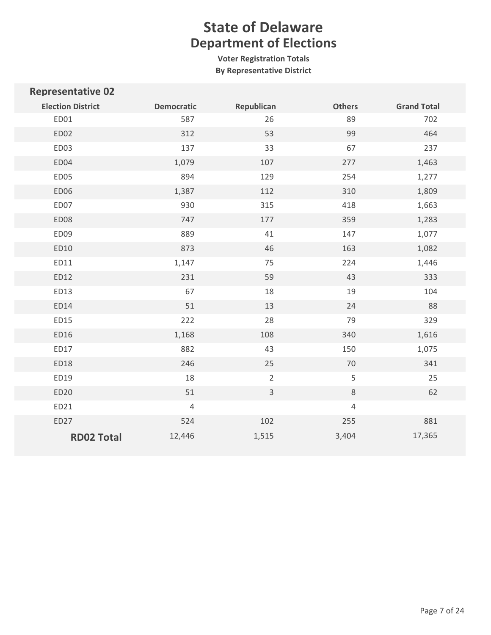**Voter Registration Totals By Representative District**

| <b>Representative 02</b> |                   |                |               |                    |
|--------------------------|-------------------|----------------|---------------|--------------------|
| <b>Election District</b> | <b>Democratic</b> | Republican     | <b>Others</b> | <b>Grand Total</b> |
| ED01                     | 587               | 26             | 89            | 702                |
| ED02                     | 312               | 53             | 99            | 464                |
| ED03                     | 137               | 33             | 67            | 237                |
| ED04                     | 1,079             | 107            | 277           | 1,463              |
| ED05                     | 894               | 129            | 254           | 1,277              |
| <b>ED06</b>              | 1,387             | 112            | 310           | 1,809              |
| ED07                     | 930               | 315            | 418           | 1,663              |
| <b>ED08</b>              | 747               | 177            | 359           | 1,283              |
| ED09                     | 889               | 41             | 147           | 1,077              |
| ED10                     | 873               | 46             | 163           | 1,082              |
| ED11                     | 1,147             | 75             | 224           | 1,446              |
| ED12                     | 231               | 59             | 43            | 333                |
| ED13                     | 67                | 18             | 19            | 104                |
| ED14                     | 51                | 13             | 24            | 88                 |
| ED15                     | 222               | 28             | 79            | 329                |
| ED16                     | 1,168             | 108            | 340           | 1,616              |
| ED17                     | 882               | 43             | 150           | 1,075              |
| ED18                     | 246               | 25             | $70$          | 341                |
| ED19                     | 18                | $\overline{2}$ | 5             | 25                 |
| ED20                     | 51                | $\overline{3}$ | $\,8\,$       | 62                 |
| ED21                     | $\overline{4}$    |                | $\sqrt{4}$    |                    |
| ED27                     | 524               | 102            | 255           | 881                |
| <b>RD02 Total</b>        | 12,446            | 1,515          | 3,404         | 17,365             |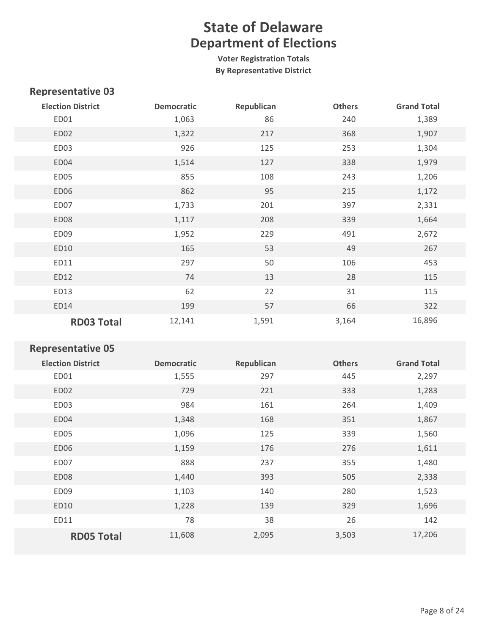**Voter Registration Totals By Representative District**

#### **Representative 03**

| <b>Election District</b> | <b>Democratic</b> | Republican | <b>Others</b> | <b>Grand Total</b> |
|--------------------------|-------------------|------------|---------------|--------------------|
| ED01                     | 1,063             | 86         | 240           | 1,389              |
| ED <sub>02</sub>         | 1,322             | 217        | 368           | 1,907              |
| ED03                     | 926               | 125        | 253           | 1,304              |
| ED04                     | 1,514             | 127        | 338           | 1,979              |
| ED05                     | 855               | 108        | 243           | 1,206              |
| <b>ED06</b>              | 862               | 95         | 215           | 1,172              |
| ED07                     | 1,733             | 201        | 397           | 2,331              |
| <b>ED08</b>              | 1,117             | 208        | 339           | 1,664              |
| ED09                     | 1,952             | 229        | 491           | 2,672              |
| ED10                     | 165               | 53         | 49            | 267                |
| ED11                     | 297               | 50         | 106           | 453                |
| ED12                     | 74                | 13         | 28            | 115                |
| ED13                     | 62                | 22         | 31            | 115                |
| ED14                     | 199               | 57         | 66            | 322                |
| <b>RD03 Total</b>        | 12,141            | 1,591      | 3,164         | 16,896             |

| <b>Election District</b> | <b>Democratic</b> | Republican | <b>Others</b> | <b>Grand Total</b> |
|--------------------------|-------------------|------------|---------------|--------------------|
| ED01                     | 1,555             | 297        | 445           | 2,297              |
| ED <sub>02</sub>         | 729               | 221        | 333           | 1,283              |
| ED03                     | 984               | 161        | 264           | 1,409              |
| ED04                     | 1,348             | 168        | 351           | 1,867              |
| ED05                     | 1,096             | 125        | 339           | 1,560              |
| ED <sub>06</sub>         | 1,159             | 176        | 276           | 1,611              |
| ED07                     | 888               | 237        | 355           | 1,480              |
| ED08                     | 1,440             | 393        | 505           | 2,338              |
| ED <sub>09</sub>         | 1,103             | 140        | 280           | 1,523              |
| ED10                     | 1,228             | 139        | 329           | 1,696              |
| ED11                     | 78                | 38         | 26            | 142                |
| <b>RD05 Total</b>        | 11,608            | 2,095      | 3,503         | 17,206             |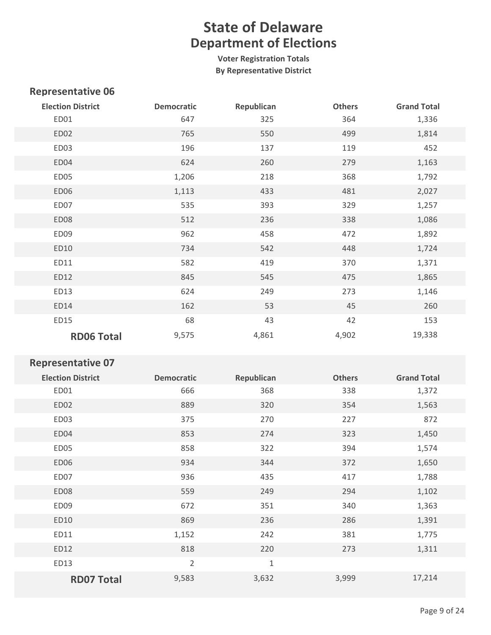**Voter Registration Totals By Representative District**

### **Representative 06**

| <b>Election District</b> | <b>Democratic</b> | Republican | <b>Others</b> | <b>Grand Total</b> |
|--------------------------|-------------------|------------|---------------|--------------------|
| ED01                     | 647               | 325        | 364           | 1,336              |
| ED02                     | 765               | 550        | 499           | 1,814              |
| ED03                     | 196               | 137        | 119           | 452                |
| ED04                     | 624               | 260        | 279           | 1,163              |
| ED05                     | 1,206             | 218        | 368           | 1,792              |
| ED06                     | 1,113             | 433        | 481           | 2,027              |
| ED07                     | 535               | 393        | 329           | 1,257              |
| ED08                     | 512               | 236        | 338           | 1,086              |
| ED09                     | 962               | 458        | 472           | 1,892              |
| ED10                     | 734               | 542        | 448           | 1,724              |
| ED11                     | 582               | 419        | 370           | 1,371              |
| ED12                     | 845               | 545        | 475           | 1,865              |
| ED13                     | 624               | 249        | 273           | 1,146              |
| ED14                     | 162               | 53         | 45            | 260                |
| ED15                     | 68                | 43         | 42            | 153                |
| <b>RD06 Total</b>        | 9,575             | 4,861      | 4,902         | 19,338             |

| <b>Election District</b> | <b>Democratic</b> | Republican  | <b>Others</b> | <b>Grand Total</b> |
|--------------------------|-------------------|-------------|---------------|--------------------|
| ED01                     | 666               | 368         | 338           | 1,372              |
| ED02                     | 889               | 320         | 354           | 1,563              |
| ED03                     | 375               | 270         | 227           | 872                |
| ED04                     | 853               | 274         | 323           | 1,450              |
| ED05                     | 858               | 322         | 394           | 1,574              |
| <b>ED06</b>              | 934               | 344         | 372           | 1,650              |
| ED07                     | 936               | 435         | 417           | 1,788              |
| <b>ED08</b>              | 559               | 249         | 294           | 1,102              |
| ED <sub>09</sub>         | 672               | 351         | 340           | 1,363              |
| ED10                     | 869               | 236         | 286           | 1,391              |
| ED11                     | 1,152             | 242         | 381           | 1,775              |
| ED12                     | 818               | 220         | 273           | 1,311              |
| ED13                     | $\overline{2}$    | $\mathbf 1$ |               |                    |
| <b>RD07 Total</b>        | 9,583             | 3,632       | 3,999         | 17,214             |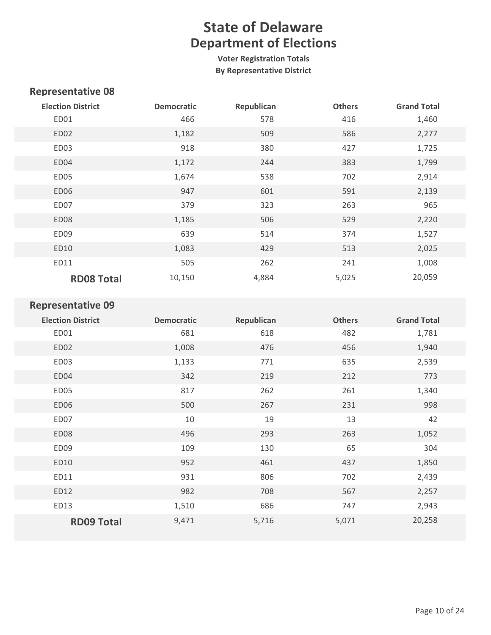**Voter Registration Totals By Representative District**

### **Representative 08**

| <b>Election District</b> | <b>Democratic</b> | Republican | <b>Others</b> | <b>Grand Total</b> |
|--------------------------|-------------------|------------|---------------|--------------------|
| ED01                     | 466               | 578        | 416           | 1,460              |
| ED <sub>02</sub>         | 1,182             | 509        | 586           | 2,277              |
| ED03                     | 918               | 380        | 427           | 1,725              |
| ED04                     | 1,172             | 244        | 383           | 1,799              |
| ED05                     | 1,674             | 538        | 702           | 2,914              |
| ED <sub>06</sub>         | 947               | 601        | 591           | 2,139              |
| ED07                     | 379               | 323        | 263           | 965                |
| ED <sub>08</sub>         | 1,185             | 506        | 529           | 2,220              |
| ED09                     | 639               | 514        | 374           | 1,527              |
| ED10                     | 1,083             | 429        | 513           | 2,025              |
| ED11                     | 505               | 262        | 241           | 1,008              |
| <b>RD08 Total</b>        | 10,150            | 4,884      | 5,025         | 20,059             |

| <b>Election District</b> | <b>Democratic</b> | Republican | <b>Others</b> | <b>Grand Total</b> |
|--------------------------|-------------------|------------|---------------|--------------------|
| ED01                     | 681               | 618        | 482           | 1,781              |
| ED02                     | 1,008             | 476        | 456           | 1,940              |
| ED03                     | 1,133             | 771        | 635           | 2,539              |
| ED04                     | 342               | 219        | 212           | 773                |
| ED05                     | 817               | 262        | 261           | 1,340              |
| ED06                     | 500               | 267        | 231           | 998                |
| ED07                     | 10                | 19         | 13            | 42                 |
| ED08                     | 496               | 293        | 263           | 1,052              |
| ED09                     | 109               | 130        | 65            | 304                |
| ED10                     | 952               | 461        | 437           | 1,850              |
| ED11                     | 931               | 806        | 702           | 2,439              |
| ED12                     | 982               | 708        | 567           | 2,257              |
| ED13                     | 1,510             | 686        | 747           | 2,943              |
| <b>RD09 Total</b>        | 9,471             | 5,716      | 5,071         | 20,258             |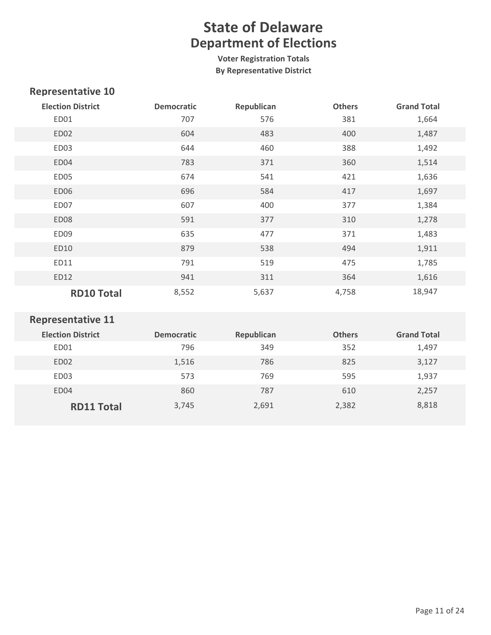**Voter Registration Totals By Representative District**

### **Representative 10**

| <b>Election District</b> | <b>Democratic</b> | Republican | <b>Others</b> | <b>Grand Total</b> |
|--------------------------|-------------------|------------|---------------|--------------------|
| ED01                     | 707               | 576        | 381           | 1,664              |
| ED02                     | 604               | 483        | 400           | 1,487              |
| ED03                     | 644               | 460        | 388           | 1,492              |
| ED04                     | 783               | 371        | 360           | 1,514              |
| ED05                     | 674               | 541        | 421           | 1,636              |
| ED06                     | 696               | 584        | 417           | 1,697              |
| ED07                     | 607               | 400        | 377           | 1,384              |
| ED08                     | 591               | 377        | 310           | 1,278              |
| ED09                     | 635               | 477        | 371           | 1,483              |
| ED10                     | 879               | 538        | 494           | 1,911              |
| ED11                     | 791               | 519        | 475           | 1,785              |
| ED12                     | 941               | 311        | 364           | 1,616              |
| <b>RD10 Total</b>        | 8,552             | 5,637      | 4,758         | 18,947             |

| <b>Election District</b> | <b>Democratic</b> | Republican | <b>Others</b> | <b>Grand Total</b> |
|--------------------------|-------------------|------------|---------------|--------------------|
| ED01                     | 796               | 349        | 352           | 1,497              |
| ED <sub>02</sub>         | 1,516             | 786        | 825           | 3,127              |
| ED <sub>03</sub>         | 573               | 769        | 595           | 1,937              |
| ED <sub>04</sub>         | 860               | 787        | 610           | 2,257              |
| <b>RD11 Total</b>        | 3,745             | 2,691      | 2,382         | 8,818              |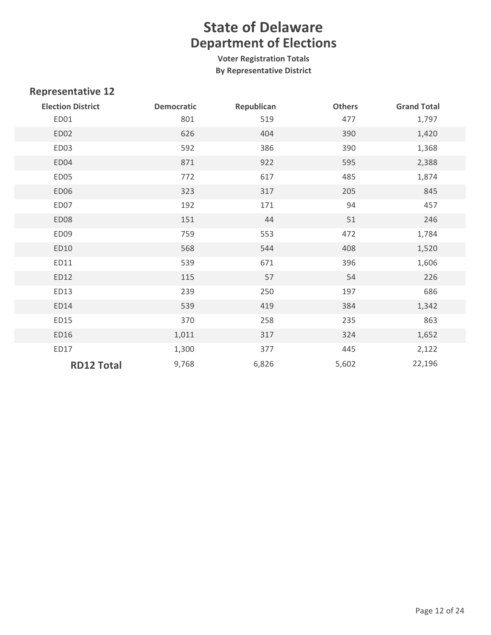**Voter Registration Totals By Representative District**

| <b>Election District</b> | <b>Democratic</b> | Republican | <b>Others</b> | <b>Grand Total</b> |
|--------------------------|-------------------|------------|---------------|--------------------|
| ED01                     | 801               | 519        | 477           | 1,797              |
| ED02                     | 626               | 404        | 390           | 1,420              |
| ED03                     | 592               | 386        | 390           | 1,368              |
| ED04                     | 871               | 922        | 595           | 2,388              |
| ED05                     | 772               | 617        | 485           | 1,874              |
| ED06                     | 323               | 317        | 205           | 845                |
| ED07                     | 192               | 171        | 94            | 457                |
| ED08                     | 151               | 44         | 51            | 246                |
| ED09                     | 759               | 553        | 472           | 1,784              |
| ED10                     | 568               | 544        | 408           | 1,520              |
| ED11                     | 539               | 671        | 396           | 1,606              |
| ED12                     | 115               | 57         | 54            | 226                |
| ED13                     | 239               | 250        | 197           | 686                |
| ED14                     | 539               | 419        | 384           | 1,342              |
| ED15                     | 370               | 258        | 235           | 863                |
| ED16                     | 1,011             | 317        | 324           | 1,652              |
| ED17                     | 1,300             | 377        | 445           | 2,122              |
| <b>RD12 Total</b>        | 9,768             | 6,826      | 5,602         | 22,196             |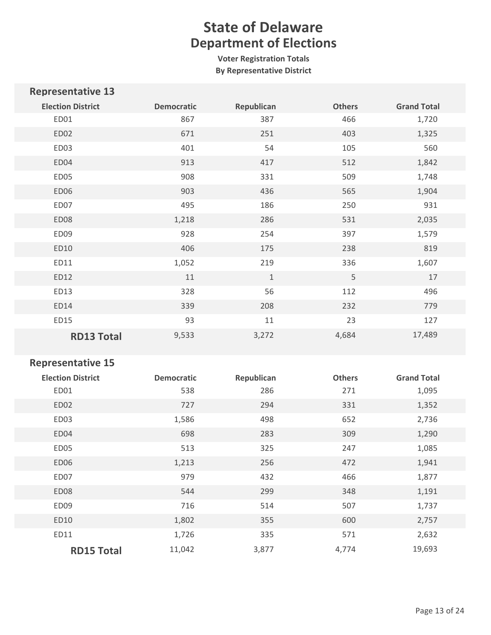**Voter Registration Totals By Representative District**

| <b>Representative 13</b> |                   |            |               |                    |
|--------------------------|-------------------|------------|---------------|--------------------|
| <b>Election District</b> | <b>Democratic</b> | Republican | <b>Others</b> | <b>Grand Total</b> |
| ED01                     | 867               | 387        | 466           | 1,720              |
| ED02                     | 671               | 251        | 403           | 1,325              |
| ED03                     | 401               | 54         | 105           | 560                |
| ED04                     | 913               | 417        | 512           | 1,842              |
| ED05                     | 908               | 331        | 509           | 1,748              |
| ED06                     | 903               | 436        | 565           | 1,904              |
| ED07                     | 495               | 186        | 250           | 931                |
| ED08                     | 1,218             | 286        | 531           | 2,035              |
| ED09                     | 928               | 254        | 397           | 1,579              |
| ED10                     | 406               | 175        | 238           | 819                |
| ED11                     | 1,052             | 219        | 336           | 1,607              |
| ED12                     | 11                | $\,1\,$    | 5             | 17                 |
| ED13                     | 328               | 56         | 112           | 496                |
| ED14                     | 339               | 208        | 232           | 779                |
| ED15                     | 93                | 11         | 23            | 127                |
| <b>RD13 Total</b>        | 9,533             | 3,272      | 4,684         | 17,489             |

| <b>Election District</b> | <b>Democratic</b> | Republican | <b>Others</b> | <b>Grand Total</b> |
|--------------------------|-------------------|------------|---------------|--------------------|
| ED01                     | 538               | 286        | 271           | 1,095              |
| ED <sub>02</sub>         | 727               | 294        | 331           | 1,352              |
| ED03                     | 1,586             | 498        | 652           | 2,736              |
| ED04                     | 698               | 283        | 309           | 1,290              |
| ED05                     | 513               | 325        | 247           | 1,085              |
| ED <sub>06</sub>         | 1,213             | 256        | 472           | 1,941              |
| ED07                     | 979               | 432        | 466           | 1,877              |
| ED08                     | 544               | 299        | 348           | 1,191              |
| ED09                     | 716               | 514        | 507           | 1,737              |
| ED10                     | 1,802             | 355        | 600           | 2,757              |
| ED11                     | 1,726             | 335        | 571           | 2,632              |
| <b>RD15 Total</b>        | 11,042            | 3,877      | 4,774         | 19,693             |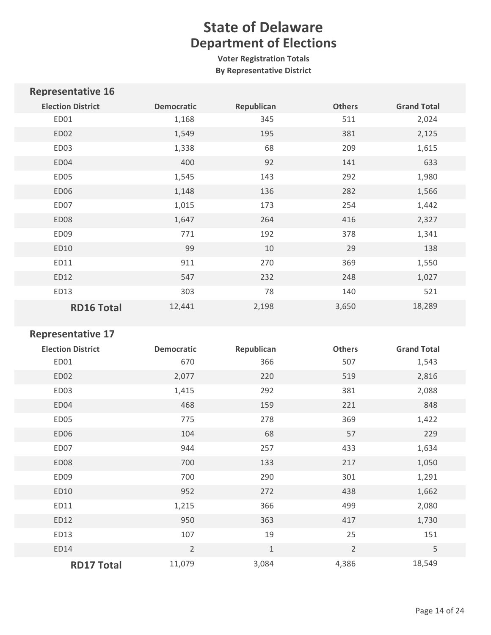**Voter Registration Totals By Representative District**

| <b>Democratic</b> | Republican | <b>Others</b> | <b>Grand Total</b> |
|-------------------|------------|---------------|--------------------|
| 1,168             | 345        | 511           | 2,024              |
| 1,549             | 195        | 381           | 2,125              |
| 1,338             | 68         | 209           | 1,615              |
| 400               | 92         | 141           | 633                |
| 1,545             | 143        | 292           | 1,980              |
| 1,148             | 136        | 282           | 1,566              |
| 1,015             | 173        | 254           | 1,442              |
| 1,647             | 264        | 416           | 2,327              |
| 771               | 192        | 378           | 1,341              |
| 99                | 10         | 29            | 138                |
| 911               | 270        | 369           | 1,550              |
| 547               | 232        | 248           | 1,027              |
| 303               | 78         | 140           | 521                |
| 12,441            | 2,198      | 3,650         | 18,289             |
|                   |            |               |                    |

| <b>Election District</b> | <b>Democratic</b> | Republican | <b>Others</b>  | <b>Grand Total</b> |
|--------------------------|-------------------|------------|----------------|--------------------|
| ED01                     | 670               | 366        | 507            | 1,543              |
| ED02                     | 2,077             | 220        | 519            | 2,816              |
| ED03                     | 1,415             | 292        | 381            | 2,088              |
| ED04                     | 468               | 159        | 221            | 848                |
| ED05                     | 775               | 278        | 369            | 1,422              |
| <b>ED06</b>              | 104               | 68         | 57             | 229                |
| ED07                     | 944               | 257        | 433            | 1,634              |
| ED08                     | 700               | 133        | 217            | 1,050              |
| ED09                     | 700               | 290        | 301            | 1,291              |
| ED10                     | 952               | 272        | 438            | 1,662              |
| ED11                     | 1,215             | 366        | 499            | 2,080              |
| ED12                     | 950               | 363        | 417            | 1,730              |
| ED13                     | 107               | 19         | 25             | 151                |
| ED14                     | $\overline{2}$    | $1\,$      | $\overline{2}$ | 5                  |
| <b>RD17 Total</b>        | 11,079            | 3,084      | 4,386          | 18,549             |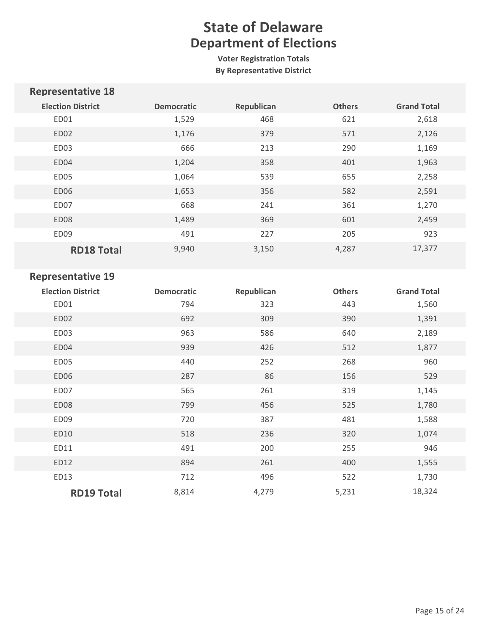**Voter Registration Totals By Representative District**

| <b>Representative 18</b> |                   |            |               |                    |
|--------------------------|-------------------|------------|---------------|--------------------|
| <b>Election District</b> | <b>Democratic</b> | Republican | <b>Others</b> | <b>Grand Total</b> |
| ED01                     | 1,529             | 468        | 621           | 2,618              |
| ED <sub>02</sub>         | 1,176             | 379        | 571           | 2,126              |
| ED03                     | 666               | 213        | 290           | 1,169              |
| ED04                     | 1,204             | 358        | 401           | 1,963              |
| ED05                     | 1,064             | 539        | 655           | 2,258              |
| ED06                     | 1,653             | 356        | 582           | 2,591              |
| ED07                     | 668               | 241        | 361           | 1,270              |
| ED <sub>08</sub>         | 1,489             | 369        | 601           | 2,459              |
| ED09                     | 491               | 227        | 205           | 923                |
| <b>RD18 Total</b>        | 9,940             | 3,150      | 4,287         | 17,377             |

| <b>Election District</b> | <b>Democratic</b> | Republican | <b>Others</b> | <b>Grand Total</b> |
|--------------------------|-------------------|------------|---------------|--------------------|
| ED01                     | 794               | 323        | 443           | 1,560              |
| ED02                     | 692               | 309        | 390           | 1,391              |
| ED03                     | 963               | 586        | 640           | 2,189              |
| ED04                     | 939               | 426        | 512           | 1,877              |
| ED05                     | 440               | 252        | 268           | 960                |
| ED06                     | 287               | 86         | 156           | 529                |
| ED07                     | 565               | 261        | 319           | 1,145              |
| ED08                     | 799               | 456        | 525           | 1,780              |
| ED <sub>09</sub>         | 720               | 387        | 481           | 1,588              |
| ED10                     | 518               | 236        | 320           | 1,074              |
| ED11                     | 491               | 200        | 255           | 946                |
| ED12                     | 894               | 261        | 400           | 1,555              |
| ED13                     | 712               | 496        | 522           | 1,730              |
| <b>RD19 Total</b>        | 8,814             | 4,279      | 5,231         | 18,324             |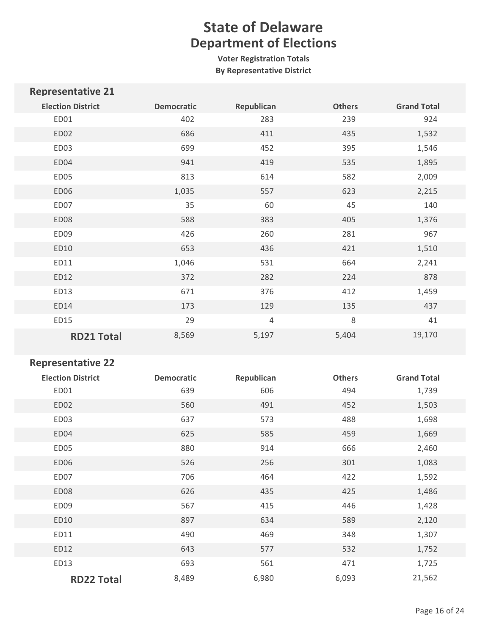**Voter Registration Totals By Representative District**

| <b>Representative 21</b> |                   |            |               |                    |
|--------------------------|-------------------|------------|---------------|--------------------|
| <b>Election District</b> | <b>Democratic</b> | Republican | <b>Others</b> | <b>Grand Total</b> |
| ED01                     | 402               | 283        | 239           | 924                |
| ED02                     | 686               | 411        | 435           | 1,532              |
| ED03                     | 699               | 452        | 395           | 1,546              |
| ED04                     | 941               | 419        | 535           | 1,895              |
| ED05                     | 813               | 614        | 582           | 2,009              |
| ED06                     | 1,035             | 557        | 623           | 2,215              |
| ED07                     | 35                | 60         | 45            | 140                |
| <b>ED08</b>              | 588               | 383        | 405           | 1,376              |
| ED09                     | 426               | 260        | 281           | 967                |
| ED10                     | 653               | 436        | 421           | 1,510              |
| ED11                     | 1,046             | 531        | 664           | 2,241              |
| ED12                     | 372               | 282        | 224           | 878                |
| ED13                     | 671               | 376        | 412           | 1,459              |
| ED14                     | 173               | 129        | 135           | 437                |
| ED15                     | 29                | $\sqrt{4}$ | 8             | 41                 |
| <b>RD21 Total</b>        | 8,569             | 5,197      | 5,404         | 19,170             |

| <b>Election District</b><br>ED01 | <b>Democratic</b><br>639 | Republican<br>606 | <b>Others</b><br>494 | <b>Grand Total</b><br>1,739 |
|----------------------------------|--------------------------|-------------------|----------------------|-----------------------------|
|                                  |                          |                   |                      |                             |
| ED02                             | 560                      | 491               | 452                  | 1,503                       |
| ED03                             | 637                      | 573               | 488                  | 1,698                       |
| ED04                             | 625                      | 585               | 459                  | 1,669                       |
| ED05                             | 880                      | 914               | 666                  | 2,460                       |
| <b>ED06</b>                      | 526                      | 256               | 301                  | 1,083                       |
| ED07                             | 706                      | 464               | 422                  | 1,592                       |
| ED08                             | 626                      | 435               | 425                  | 1,486                       |
| ED09                             | 567                      | 415               | 446                  | 1,428                       |
| ED10                             | 897                      | 634               | 589                  | 2,120                       |
| ED11                             | 490                      | 469               | 348                  | 1,307                       |
| ED12                             | 643                      | 577               | 532                  | 1,752                       |
| ED13                             | 693                      | 561               | 471                  | 1,725                       |
| <b>RD22 Total</b>                | 8,489                    | 6,980             | 6,093                | 21,562                      |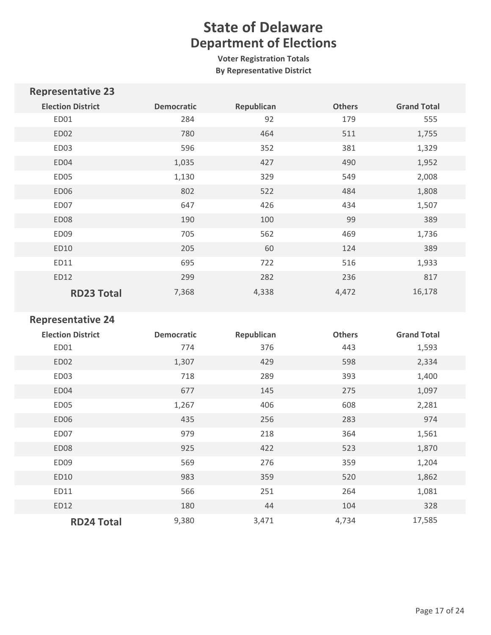**Voter Registration Totals By Representative District**

| <b>Representative 23</b> |                   |            |               |                    |
|--------------------------|-------------------|------------|---------------|--------------------|
| <b>Election District</b> | <b>Democratic</b> | Republican | <b>Others</b> | <b>Grand Total</b> |
| ED01                     | 284               | 92         | 179           | 555                |
| ED <sub>02</sub>         | 780               | 464        | 511           | 1,755              |
| ED03                     | 596               | 352        | 381           | 1,329              |
| ED04                     | 1,035             | 427        | 490           | 1,952              |
| ED05                     | 1,130             | 329        | 549           | 2,008              |
| ED06                     | 802               | 522        | 484           | 1,808              |
| ED07                     | 647               | 426        | 434           | 1,507              |
| ED <sub>08</sub>         | 190               | 100        | 99            | 389                |
| ED <sub>09</sub>         | 705               | 562        | 469           | 1,736              |
| ED10                     | 205               | 60         | 124           | 389                |
| ED11                     | 695               | 722        | 516           | 1,933              |
| ED12                     | 299               | 282        | 236           | 817                |
| <b>RD23 Total</b>        | 7,368             | 4,338      | 4,472         | 16,178             |

| <b>Election District</b> | <b>Democratic</b> | Republican | <b>Others</b> | <b>Grand Total</b> |
|--------------------------|-------------------|------------|---------------|--------------------|
| ED01                     | 774               | 376        | 443           | 1,593              |
| ED02                     | 1,307             | 429        | 598           | 2,334              |
| ED03                     | 718               | 289        | 393           | 1,400              |
| ED04                     | 677               | 145        | 275           | 1,097              |
| ED05                     | 1,267             | 406        | 608           | 2,281              |
| ED06                     | 435               | 256        | 283           | 974                |
| ED07                     | 979               | 218        | 364           | 1,561              |
| ED08                     | 925               | 422        | 523           | 1,870              |
| ED09                     | 569               | 276        | 359           | 1,204              |
| ED10                     | 983               | 359        | 520           | 1,862              |
| ED11                     | 566               | 251        | 264           | 1,081              |
| ED12                     | 180               | 44         | 104           | 328                |
| <b>RD24 Total</b>        | 9,380             | 3,471      | 4,734         | 17,585             |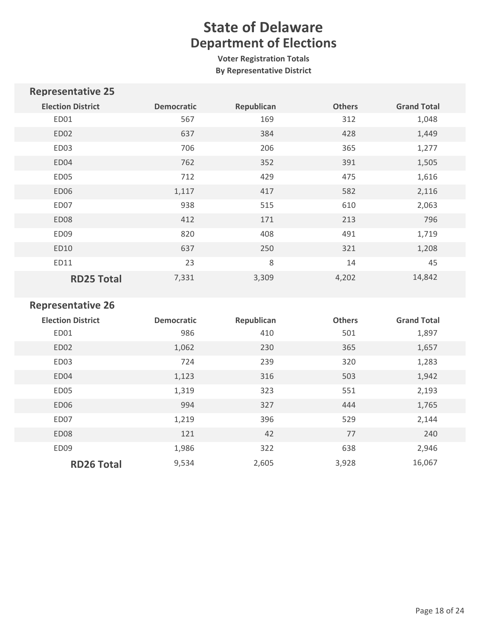**Voter Registration Totals By Representative District**

| <b>Representative 25</b> |                   |            |               |                    |
|--------------------------|-------------------|------------|---------------|--------------------|
| <b>Election District</b> | <b>Democratic</b> | Republican | <b>Others</b> | <b>Grand Total</b> |
| ED01                     | 567               | 169        | 312           | 1,048              |
| ED02                     | 637               | 384        | 428           | 1,449              |
| ED <sub>03</sub>         | 706               | 206        | 365           | 1,277              |
| ED04                     | 762               | 352        | 391           | 1,505              |
| ED05                     | 712               | 429        | 475           | 1,616              |
| ED06                     | 1,117             | 417        | 582           | 2,116              |
| ED07                     | 938               | 515        | 610           | 2,063              |
| ED <sub>08</sub>         | 412               | 171        | 213           | 796                |
| ED <sub>09</sub>         | 820               | 408        | 491           | 1,719              |
| ED10                     | 637               | 250        | 321           | 1,208              |
| ED11                     | 23                | 8          | 14            | 45                 |
| <b>RD25 Total</b>        | 7,331             | 3,309      | 4,202         | 14,842             |

| <b>Election District</b> | <b>Democratic</b> | Republican | <b>Others</b> | <b>Grand Total</b> |
|--------------------------|-------------------|------------|---------------|--------------------|
| ED01                     | 986               | 410        | 501           | 1,897              |
| ED <sub>02</sub>         | 1,062             | 230        | 365           | 1,657              |
| ED03                     | 724               | 239        | 320           | 1,283              |
| ED04                     | 1,123             | 316        | 503           | 1,942              |
| ED05                     | 1,319             | 323        | 551           | 2,193              |
| ED <sub>06</sub>         | 994               | 327        | 444           | 1,765              |
| ED07                     | 1,219             | 396        | 529           | 2,144              |
| ED08                     | 121               | 42         | 77            | 240                |
| ED09                     | 1,986             | 322        | 638           | 2,946              |
| <b>RD26 Total</b>        | 9,534             | 2,605      | 3,928         | 16,067             |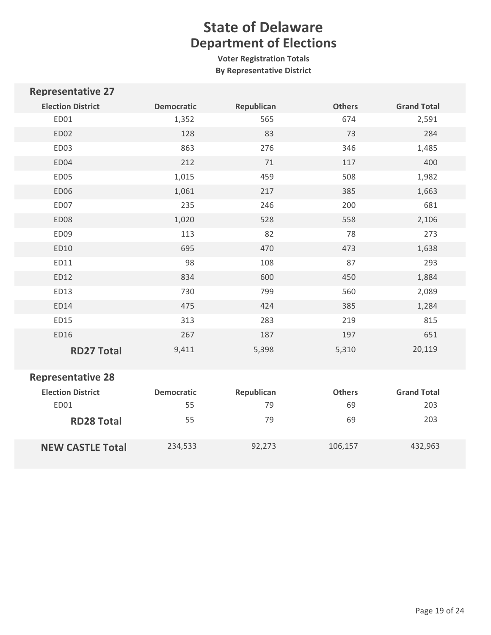**Voter Registration Totals By Representative District**

| <b>Representative 27</b> |                   |            |               |                    |
|--------------------------|-------------------|------------|---------------|--------------------|
| <b>Election District</b> | <b>Democratic</b> | Republican | <b>Others</b> | <b>Grand Total</b> |
| ED01                     | 1,352             | 565        | 674           | 2,591              |
| ED02                     | 128               | 83         | 73            | 284                |
| ED03                     | 863               | 276        | 346           | 1,485              |
| ED04                     | 212               | 71         | 117           | 400                |
| ED05                     | 1,015             | 459        | 508           | 1,982              |
| ED06                     | 1,061             | 217        | 385           | 1,663              |
| ED07                     | 235               | 246        | 200           | 681                |
| ED08                     | 1,020             | 528        | 558           | 2,106              |
| ED09                     | 113               | 82         | 78            | 273                |
| ED10                     | 695               | 470        | 473           | 1,638              |
| ED11                     | 98                | 108        | 87            | 293                |
| ED12                     | 834               | 600        | 450           | 1,884              |
| ED13                     | 730               | 799        | 560           | 2,089              |
| ED14                     | 475               | 424        | 385           | 1,284              |
| ED15                     | 313               | 283        | 219           | 815                |
| ED16                     | 267               | 187        | 197           | 651                |
| <b>RD27 Total</b>        | 9,411             | 5,398      | 5,310         | 20,119             |
| <b>Representative 28</b> |                   |            |               |                    |
| <b>Election District</b> | <b>Democratic</b> | Republican | <b>Others</b> | <b>Grand Total</b> |
| ED01                     | 55                | 79         | 69            | 203                |
| <b>RD28 Total</b>        | 55                | 79         | 69            | 203                |
| <b>NEW CASTLE Total</b>  | 234,533           | 92,273     | 106,157       | 432,963            |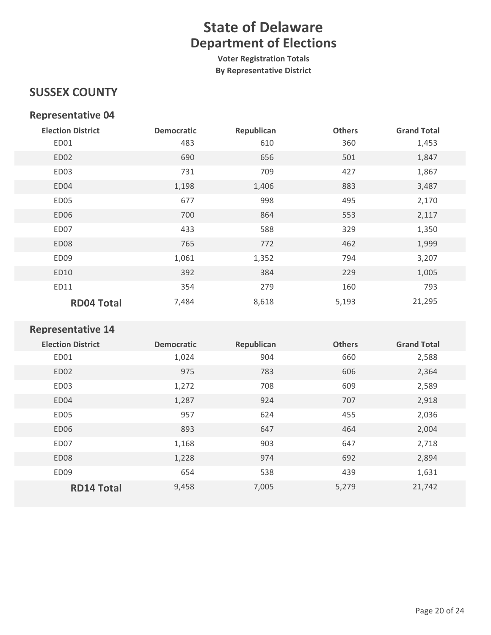**Voter Registration Totals By Representative District**

### **SUSSEX COUNTY**

#### **Representative 04**

| <b>Election District</b> | <b>Democratic</b> | Republican | <b>Others</b> | <b>Grand Total</b> |
|--------------------------|-------------------|------------|---------------|--------------------|
| ED01                     | 483               | 610        | 360           | 1,453              |
| ED02                     | 690               | 656        | 501           | 1,847              |
| ED03                     | 731               | 709        | 427           | 1,867              |
| ED04                     | 1,198             | 1,406      | 883           | 3,487              |
| ED05                     | 677               | 998        | 495           | 2,170              |
| ED06                     | 700               | 864        | 553           | 2,117              |
| ED07                     | 433               | 588        | 329           | 1,350              |
| ED08                     | 765               | 772        | 462           | 1,999              |
| ED09                     | 1,061             | 1,352      | 794           | 3,207              |
| ED10                     | 392               | 384        | 229           | 1,005              |
| ED11                     | 354               | 279        | 160           | 793                |
| <b>RD04 Total</b>        | 7,484             | 8,618      | 5,193         | 21,295             |

| <b>Election District</b> | <b>Democratic</b> | Republican | <b>Others</b> | <b>Grand Total</b> |
|--------------------------|-------------------|------------|---------------|--------------------|
| ED01                     | 1,024             | 904        | 660           | 2,588              |
| ED <sub>02</sub>         | 975               | 783        | 606           | 2,364              |
| ED <sub>03</sub>         | 1,272             | 708        | 609           | 2,589              |
| ED04                     | 1,287             | 924        | 707           | 2,918              |
| ED <sub>05</sub>         | 957               | 624        | 455           | 2,036              |
| ED <sub>06</sub>         | 893               | 647        | 464           | 2,004              |
| ED07                     | 1,168             | 903        | 647           | 2,718              |
| ED <sub>08</sub>         | 1,228             | 974        | 692           | 2,894              |
| ED <sub>09</sub>         | 654               | 538        | 439           | 1,631              |
| <b>RD14 Total</b>        | 9,458             | 7,005      | 5,279         | 21,742             |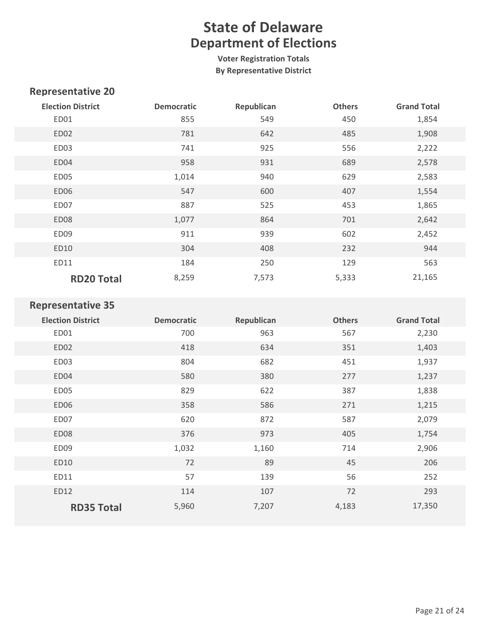**Voter Registration Totals By Representative District**

### **Representative 20**

| <b>Election District</b> | <b>Democratic</b> | Republican | <b>Others</b> | <b>Grand Total</b> |
|--------------------------|-------------------|------------|---------------|--------------------|
| ED01                     | 855               | 549        | 450           | 1,854              |
| ED <sub>02</sub>         | 781               | 642        | 485           | 1,908              |
| ED03                     | 741               | 925        | 556           | 2,222              |
| ED04                     | 958               | 931        | 689           | 2,578              |
| ED05                     | 1,014             | 940        | 629           | 2,583              |
| ED06                     | 547               | 600        | 407           | 1,554              |
| ED07                     | 887               | 525        | 453           | 1,865              |
| ED08                     | 1,077             | 864        | 701           | 2,642              |
| ED09                     | 911               | 939        | 602           | 2,452              |
| ED10                     | 304               | 408        | 232           | 944                |
| ED11                     | 184               | 250        | 129           | 563                |
| <b>RD20 Total</b>        | 8,259             | 7,573      | 5,333         | 21,165             |

| <b>Election District</b> | <b>Democratic</b> | Republican | <b>Others</b> | <b>Grand Total</b> |
|--------------------------|-------------------|------------|---------------|--------------------|
| ED01                     | 700               | 963        | 567           | 2,230              |
| ED02                     | 418               | 634        | 351           | 1,403              |
| ED03                     | 804               | 682        | 451           | 1,937              |
| ED04                     | 580               | 380        | 277           | 1,237              |
| ED05                     | 829               | 622        | 387           | 1,838              |
| ED06                     | 358               | 586        | 271           | 1,215              |
| ED07                     | 620               | 872        | 587           | 2,079              |
| ED08                     | 376               | 973        | 405           | 1,754              |
| ED <sub>09</sub>         | 1,032             | 1,160      | 714           | 2,906              |
| ED10                     | 72                | 89         | 45            | 206                |
| ED11                     | 57                | 139        | 56            | 252                |
| ED12                     | 114               | 107        | 72            | 293                |
| <b>RD35 Total</b>        | 5,960             | 7,207      | 4,183         | 17,350             |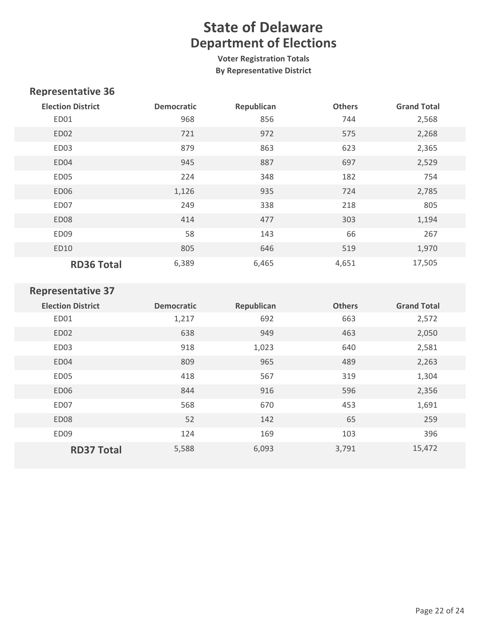**Voter Registration Totals By Representative District**

### **Representative 36**

| <b>Election District</b> | <b>Democratic</b> | Republican | <b>Others</b> | <b>Grand Total</b> |
|--------------------------|-------------------|------------|---------------|--------------------|
| ED01                     | 968               | 856        | 744           | 2,568              |
| ED <sub>02</sub>         | 721               | 972        | 575           | 2,268              |
| ED03                     | 879               | 863        | 623           | 2,365              |
| ED04                     | 945               | 887        | 697           | 2,529              |
| ED05                     | 224               | 348        | 182           | 754                |
| ED <sub>06</sub>         | 1,126             | 935        | 724           | 2,785              |
| ED07                     | 249               | 338        | 218           | 805                |
| ED08                     | 414               | 477        | 303           | 1,194              |
| ED09                     | 58                | 143        | 66            | 267                |
| ED10                     | 805               | 646        | 519           | 1,970              |
| <b>RD36 Total</b>        | 6,389             | 6,465      | 4,651         | 17,505             |

| <b>Election District</b> | <b>Democratic</b> | Republican | <b>Others</b> | <b>Grand Total</b> |
|--------------------------|-------------------|------------|---------------|--------------------|
| ED01                     | 1,217             | 692        | 663           | 2,572              |
| ED <sub>02</sub>         | 638               | 949        | 463           | 2,050              |
| ED <sub>03</sub>         | 918               | 1,023      | 640           | 2,581              |
| ED04                     | 809               | 965        | 489           | 2,263              |
| ED <sub>05</sub>         | 418               | 567        | 319           | 1,304              |
| ED06                     | 844               | 916        | 596           | 2,356              |
| ED07                     | 568               | 670        | 453           | 1,691              |
| ED <sub>08</sub>         | 52                | 142        | 65            | 259                |
| ED <sub>09</sub>         | 124               | 169        | 103           | 396                |
| <b>RD37 Total</b>        | 5,588             | 6,093      | 3,791         | 15,472             |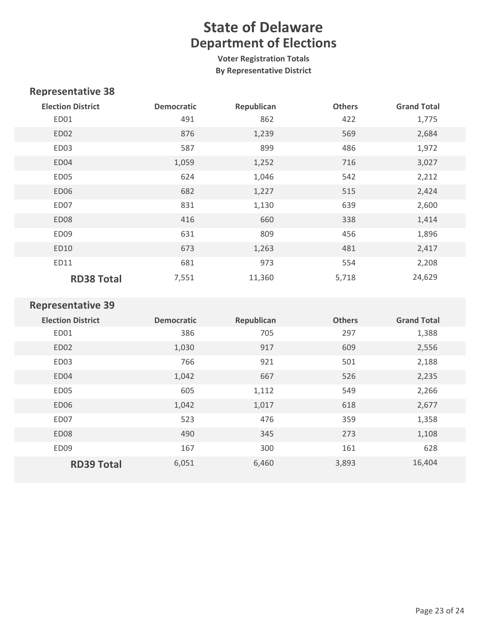**Voter Registration Totals By Representative District**

### **Representative 38**

| <b>Election District</b> | <b>Democratic</b> | Republican | <b>Others</b> | <b>Grand Total</b> |
|--------------------------|-------------------|------------|---------------|--------------------|
| ED01                     | 491               | 862        | 422           | 1,775              |
| ED <sub>02</sub>         | 876               | 1,239      | 569           | 2,684              |
| ED03                     | 587               | 899        | 486           | 1,972              |
| ED04                     | 1,059             | 1,252      | 716           | 3,027              |
| ED05                     | 624               | 1,046      | 542           | 2,212              |
| ED <sub>06</sub>         | 682               | 1,227      | 515           | 2,424              |
| ED07                     | 831               | 1,130      | 639           | 2,600              |
| ED <sub>08</sub>         | 416               | 660        | 338           | 1,414              |
| ED09                     | 631               | 809        | 456           | 1,896              |
| ED10                     | 673               | 1,263      | 481           | 2,417              |
| ED11                     | 681               | 973        | 554           | 2,208              |
| <b>RD38 Total</b>        | 7,551             | 11,360     | 5,718         | 24,629             |

| <b>Election District</b> | <b>Democratic</b> | Republican | <b>Others</b> | <b>Grand Total</b> |
|--------------------------|-------------------|------------|---------------|--------------------|
| ED01                     | 386               | 705        | 297           | 1,388              |
| ED <sub>02</sub>         | 1,030             | 917        | 609           | 2,556              |
| ED <sub>03</sub>         | 766               | 921        | 501           | 2,188              |
| ED04                     | 1,042             | 667        | 526           | 2,235              |
| ED05                     | 605               | 1,112      | 549           | 2,266              |
| ED <sub>06</sub>         | 1,042             | 1,017      | 618           | 2,677              |
| ED07                     | 523               | 476        | 359           | 1,358              |
| ED <sub>08</sub>         | 490               | 345        | 273           | 1,108              |
| ED <sub>09</sub>         | 167               | 300        | 161           | 628                |
| <b>RD39 Total</b>        | 6,051             | 6,460      | 3,893         | 16,404             |